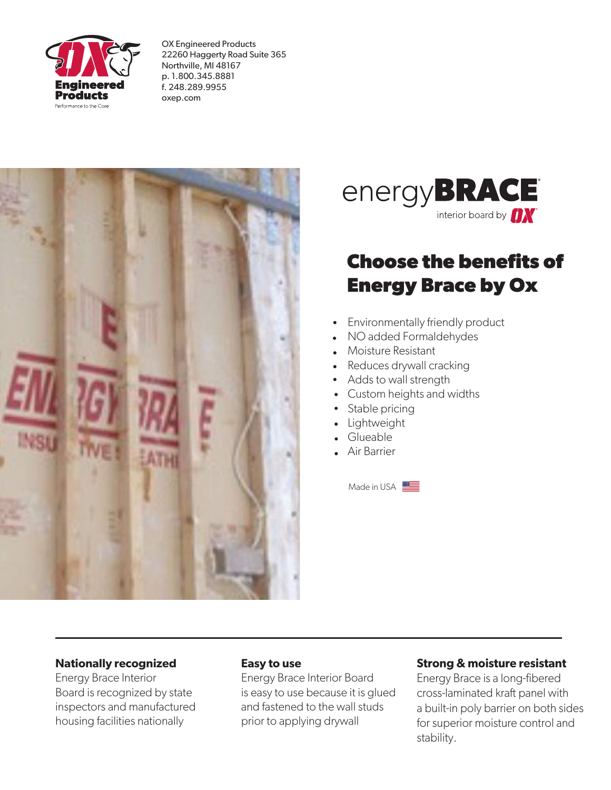

OX Engineered Products 22260 Haggerty Road Suite 365 Northville, MI 48167 p. 1.800.345.8881 f. 248.289.9955 oxep.com





# **Choose the benefits of Energy Brace by Ox**

- Environmentally friendly product
- NO added Formaldehydes
- Moisture Resistant
- Reduces drywall cracking
- Adds to wall strength
- Custom heights and widths
- Stable pricing
- Lightweight
- Glueable
- Air Barrier

Made in USA

### **Nationally recognized**

Energy Brace Interior Board is recognized by state inspectors and manufactured housing facilities nationally

### **Easy to use**

Energy Brace Interior Board is easy to use because it is glued and fastened to the wall studs prior to applying drywall

### **Strong & moisture resistant**

Energy Brace is a long-fibered cross-laminated kraft panel with a built-in poly barrier on both sides for superior moisture control and stability.